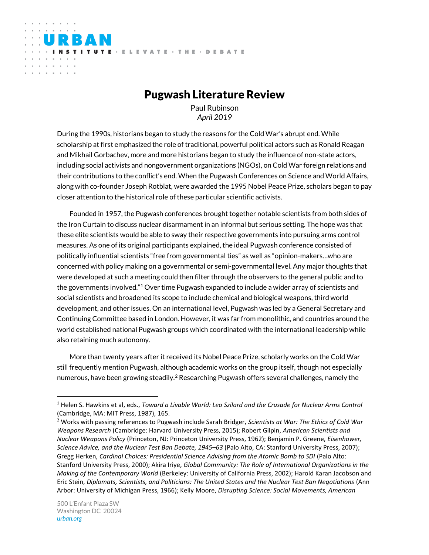# Pugwash Literature Review

ITUTE - ELEVATE - THE - DEBATE

Paul Rubinson *April 2019*

During the 1990s, historians began to study the reasons for the Cold War's abrupt end. While scholarship at first emphasized the role of traditional, powerful political actors such as Ronald Reagan and Mikhail Gorbachev, more and more historians began to study the influence of non-state actors, including social activists and nongovernment organizations (NGOs), on Cold War foreign relations and their contributions to the conflict's end. When the Pugwash Conferences on Science and World Affairs, along with co-founder Joseph Rotblat, were awarded the 1995 Nobel Peace Prize, scholars began to pay closer attention to the historical role of these particular scientific activists.

Founded in 1957, the Pugwash conferences brought together notable scientists from both sides of the Iron Curtain to discuss nuclear disarmament in an informal but serious setting. The hope was that these elite scientists would be able to sway their respective governments into pursuing arms control measures. As one of its original participants explained, the ideal Pugwash conference consisted of politically influential scientists "free from governmental ties" as well as "opinion-makers…who are concerned with policy making on a governmental or semi-governmental level. Any major thoughts that were developed at such a meeting could then filter through the observers to the general public and to the governments involved."<sup>1</sup> Over time Pugwash expanded to include a wider array of scientists and social scientists and broadened its scope to include chemical and biological weapons, third world development, and other issues. On an international level, Pugwash was led by a General Secretary and Continuing Committee based in London. However, it was far from monolithic, and countries around the world established national Pugwash groups which coordinated with the international leadership while also retaining much autonomy.

More than twenty years after it received its Nobel Peace Prize, scholarly works on the Cold War still frequently mention Pugwash, although academic works on the group itself, though not especially numerous, have been growing steadily.<sup>2</sup> Researching Pugwash offers several challenges, namely the

 $\overline{a}$ 

RBAN

and the company's  $\alpha$  ,  $\alpha$  ,  $\alpha$  ,  $\alpha$  ,  $\alpha$ 

<sup>1</sup> Helen S. Hawkins et al, eds., *Toward a Livable World: Leo Szilard and the Crusade for Nuclear Arms Control*  (Cambridge, MA: MIT Press, 1987), 165.

<sup>2</sup> Works with passing references to Pugwash include Sarah Bridger, *Scientists at War: The Ethics of Cold War Weapons Research* (Cambridge: Harvard University Press, 2015); Robert Gilpin, *American Scientists and Nuclear Weapons Policy* (Princeton, NJ: Princeton University Press, 1962); Benjamin P. Greene, *Eisenhower, Science Advice, and the Nuclear Test Ban Debate, 1945–63* (Palo Alto, CA: Stanford University Press, 2007); Gregg Herken, *Cardinal Choices: Presidential Science Advising from the Atomic Bomb to SDI* (Palo Alto: Stanford University Press, 2000); Akira Iriye, *Global Community: The Role of International Organizations in the Making of the Contemporary World* (Berkeley: University of California Press, 2002); Harold Karan Jacobson and Eric Stein, *Diplomats, Scientists, and Politicians: The United States and the Nuclear Test Ban Negotiations* (Ann Arbor: University of Michigan Press, 1966); Kelly Moore, *Disrupting Science: Social Movements, American*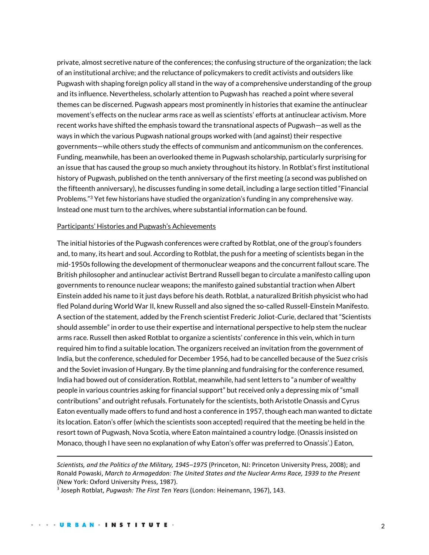private, almost secretive nature of the conferences; the confusing structure of the organization; the lack of an institutional archive; and the reluctance of policymakers to credit activists and outsiders like Pugwash with shaping foreign policy all stand in the way of a comprehensive understanding of the group and its influence. Nevertheless, scholarly attention to Pugwash has reached a point where several themes can be discerned. Pugwash appears most prominently in histories that examine the antinuclear movement's effects on the nuclear arms race as well as scientists' efforts at antinuclear activism. More recent works have shifted the emphasis toward the transnational aspects of Pugwash—as well as the ways in which the various Pugwash national groups worked with (and against) their respective governments—while others study the effects of communism and anticommunism on the conferences. Funding, meanwhile, has been an overlooked theme in Pugwash scholarship, particularly surprising for an issue that has caused the group so much anxiety throughout its history. In Rotblat's first institutional history of Pugwash, published on the tenth anniversary of the first meeting (a second was published on the fifteenth anniversary), he discusses funding in some detail, including a large section titled "Financial Problems."<sup>3</sup> Yet few historians have studied the organization's funding in any comprehensive way. Instead one must turn to the archives, where substantial information can be found.

#### Participants' Histories and Pugwash's Achievements

The initial histories of the Pugwash conferences were crafted by Rotblat, one of the group's founders and, to many, its heart and soul. According to Rotblat, the push for a meeting of scientists began in the mid-1950s following the development of thermonuclear weapons and the concurrent fallout scare. The British philosopher and antinuclear activist Bertrand Russell began to circulate a manifesto calling upon governments to renounce nuclear weapons; the manifesto gained substantial traction when Albert Einstein added his name to it just days before his death. Rotblat, a naturalized British physicist who had fled Poland during World War II, knew Russell and also signed the so-called Russell-Einstein Manifesto. A section of the statement, added by the French scientist Frederic Joliot-Curie, declared that "Scientists should assemble" in order to use their expertise and international perspective to help stem the nuclear arms race. Russell then asked Rotblat to organize a scientists' conference in this vein, which in turn required him to find a suitable location. The organizers received an invitation from the government of India, but the conference, scheduled for December 1956, had to be cancelled because of the Suez crisis and the Soviet invasion of Hungary. By the time planning and fundraising for the conference resumed, India had bowed out of consideration. Rotblat, meanwhile, had sent letters to "a number of wealthy people in various countries asking for financial support" but received only a depressing mix of "small contributions" and outright refusals. Fortunately for the scientists, both Aristotle Onassis and Cyrus Eaton eventually made offers to fund and host a conference in 1957, though each man wanted to dictate its location. Eaton's offer (which the scientists soon accepted) required that the meeting be held in the resort town of Pugwash, Nova Scotia, where Eaton maintained a country lodge. (Onassis insisted on Monaco, though I have seen no explanation of why Eaton's offer was preferred to Onassis'.) Eaton,

*Scientists, and the Politics of the Military, 1945–1975* (Princeton, NJ: Princeton University Press, 2008); and Ronald Powaski, *March to Armageddon: The United States and the Nuclear Arms Race, 1939 to the Present*  (New York: Oxford University Press, 1987).

<sup>3</sup> Joseph Rotblat, *Pugwash: The First Ten Years* (London: Heinemann, 1967), 143.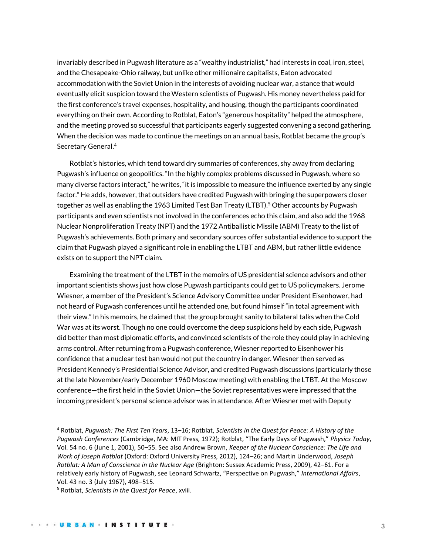invariably described in Pugwash literature as a "wealthy industrialist," had interests in coal, iron, steel, and the Chesapeake-Ohio railway, but unlike other millionaire capitalists, Eaton advocated accommodation with the Soviet Union in the interests of avoiding nuclear war, a stance that would eventually elicit suspicion toward the Western scientists of Pugwash. His money nevertheless paid for the first conference's travel expenses, hospitality, and housing, though the participants coordinated everything on their own. According to Rotblat, Eaton's "generous hospitality" helped the atmosphere, and the meeting proved so successful that participants eagerly suggested convening a second gathering. When the decision was made to continue the meetings on an annual basis, Rotblat became the group's Secretary General.<sup>4</sup>

Rotblat's histories, which tend toward dry summaries of conferences, shy away from declaring Pugwash's influence on geopolitics. "In the highly complex problems discussed in Pugwash, where so many diverse factors interact," he writes, "it is impossible to measure the influence exerted by any single factor." He adds, however, that outsiders have credited Pugwash with bringing the superpowers closer together as well as enabling the 1963 Limited Test Ban Treaty (LTBT).<sup>5</sup> Other accounts by Pugwash participants and even scientists not involved in the conferences echo this claim, and also add the 1968 Nuclear Nonproliferation Treaty (NPT) and the 1972 Antiballistic Missile (ABM) Treaty to the list of Pugwash's achievements. Both primary and secondary sources offer substantial evidence to support the claim that Pugwash played a significant role in enabling the LTBT and ABM, but rather little evidence exists on to support the NPT claim.

Examining the treatment of the LTBT in the memoirs of US presidential science advisors and other important scientists shows just how close Pugwash participants could get to US policymakers. Jerome Wiesner, a member of the President's Science Advisory Committee under President Eisenhower, had not heard of Pugwash conferences until he attended one, but found himself "in total agreement with their view." In his memoirs, he claimed that the group brought sanity to bilateral talks when the Cold War was at its worst. Though no one could overcome the deep suspicions held by each side, Pugwash did better than most diplomatic efforts, and convinced scientists of the role they could play in achieving arms control. After returning from a Pugwash conference, Wiesner reported to Eisenhower his confidence that a nuclear test ban would not put the country in danger. Wiesner then served as President Kennedy's Presidential Science Advisor, and credited Pugwash discussions (particularly those at the late November/early December 1960 Moscow meeting) with enabling the LTBT. At the Moscow conference—the first held in the Soviet Union—the Soviet representatives were impressed that the incoming president's personal science advisor was in attendance. After Wiesner met with Deputy

<sup>4</sup> Rotblat, *Pugwash: The First Ten Years*, 13–16; Rotblat, *Scientists in the Quest for Peace: A History of the Pugwash Conferences* (Cambridge, MA: MIT Press, 1972); Rotblat, "The Early Days of Pugwash," *Physics Today*, Vol. 54 no. 6 (June 1, 2001), 50–55. See also Andrew Brown, *Keeper of the Nuclear Conscience: The Life and Work of Joseph Rotblat* (Oxford: Oxford University Press, 2012), 124–26; and Martin Underwood, *Joseph Rotblat: A Man of Conscience in the Nuclear Age* (Brighton: Sussex Academic Press, 2009), 42–61. For a relatively early history of Pugwash, see Leonard Schwartz, "Perspective on Pugwash," *International Affairs*, Vol. 43 no. 3 (July 1967), 498–515.

<sup>5</sup> Rotblat, *Scientists in the Quest for Peace*, xviii.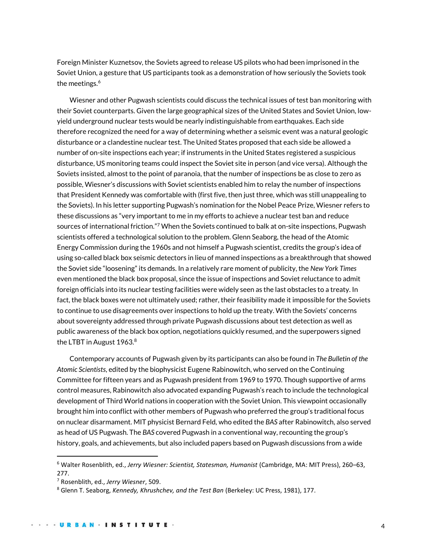Foreign Minister Kuznetsov, the Soviets agreed to release US pilots who had been imprisoned in the Soviet Union, a gesture that US participants took as a demonstration of how seriously the Soviets took the meetings.<sup>6</sup>

Wiesner and other Pugwash scientists could discuss the technical issues of test ban monitoring with their Soviet counterparts. Given the large geographical sizes of the United States and Soviet Union, lowyield underground nuclear tests would be nearly indistinguishable from earthquakes. Each side therefore recognized the need for a way of determining whether a seismic event was a natural geologic disturbance or a clandestine nuclear test. The United States proposed that each side be allowed a number of on-site inspections each year; if instruments in the United States registered a suspicious disturbance, US monitoring teams could inspect the Soviet site in person (and vice versa). Although the Soviets insisted, almost to the point of paranoia, that the number of inspections be as close to zero as possible, Wiesner's discussions with Soviet scientists enabled him to relay the number of inspections that President Kennedy was comfortable with (first five, then just three, which was still unappealing to the Soviets). In his letter supporting Pugwash's nomination for the Nobel Peace Prize, Wiesner refers to these discussions as "very important to me in my efforts to achieve a nuclear test ban and reduce sources of international friction."<sup>7</sup> When the Soviets continued to balk at on-site inspections, Pugwash scientists offered a technological solution to the problem. Glenn Seaborg, the head of the Atomic Energy Commission during the 1960s and not himself a Pugwash scientist, credits the group's idea of using so-called black box seismic detectors in lieu of manned inspections as a breakthrough that showed the Soviet side "loosening" its demands. In a relatively rare moment of publicity, the *New York Times*  even mentioned the black box proposal, since the issue of inspections and Soviet reluctance to admit foreign officials into its nuclear testing facilities were widely seen as the last obstacles to a treaty. In fact, the black boxes were not ultimately used; rather, their feasibility made it impossible for the Soviets to continue to use disagreements over inspections to hold up the treaty. With the Soviets' concerns about sovereignty addressed through private Pugwash discussions about test detection as well as public awareness of the black box option, negotiations quickly resumed, and the superpowers signed the LTBT in August 1963.<sup>8</sup>

Contemporary accounts of Pugwash given by its participants can also be found in *The Bulletin of the Atomic Scientists*, edited by the biophysicist Eugene Rabinowitch, who served on the Continuing Committee for fifteen years and as Pugwash president from 1969 to 1970. Though supportive of arms control measures, Rabinowitch also advocated expanding Pugwash's reach to include the technological development of Third World nations in cooperation with the Soviet Union. This viewpoint occasionally brought him into conflict with other members of Pugwash who preferred the group's traditional focus on nuclear disarmament. MIT physicist Bernard Feld, who edited the *BAS* after Rabinowitch, also served as head of US Pugwash. The *BAS* covered Pugwash in a conventional way, recounting the group's history, goals, and achievements, but also included papers based on Pugwash discussions from a wide

<sup>6</sup> Walter Rosenblith, ed., *Jerry Wiesner: Scientist, Statesman, Humanist* (Cambridge, MA: MIT Press), 260–63, 277.

<sup>7</sup> Rosenblith, ed., *Jerry Wiesner*, 509.

<sup>8</sup> Glenn T. Seaborg, *Kennedy, Khrushchev, and the Test Ban* (Berkeley: UC Press, 1981), 177.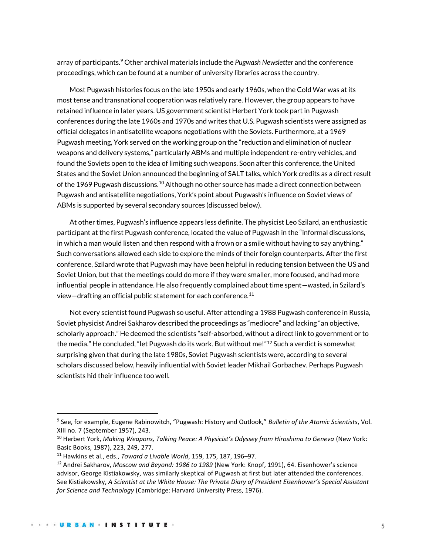array of participants.<sup>9</sup> Other archival materials include the *Pugwash Newsletter* and the conference proceedings, which can be found at a number of university libraries across the country.

Most Pugwash histories focus on the late 1950s and early 1960s, when the Cold War was at its most tense and transnational cooperation was relatively rare. However, the group appears to have retained influence in later years. US government scientist Herbert York took part in Pugwash conferences during the late 1960s and 1970s and writes that U.S. Pugwash scientists were assigned as official delegates in antisatellite weapons negotiations with the Soviets. Furthermore, at a 1969 Pugwash meeting, York served on the working group on the "reduction and elimination of nuclear weapons and delivery systems," particularly ABMs and multiple independent re-entry vehicles, and found the Soviets open to the idea of limiting such weapons. Soon after this conference, the United States and the Soviet Union announced the beginning of SALT talks, which York credits as a direct result of the 1969 Pugwash discussions.<sup>10</sup> Although no other source has made a direct connection between Pugwash and antisatellite negotiations, York's point about Pugwash's influence on Soviet views of ABMs is supported by several secondary sources (discussed below).

At other times, Pugwash's influence appears less definite. The physicist Leo Szilard, an enthusiastic participant at the first Pugwash conference, located the value of Pugwash in the "informal discussions, in which a man would listen and then respond with a frown or a smile without having to say anything." Such conversations allowed each side to explore the minds of their foreign counterparts. After the first conference, Szilard wrote that Pugwash may have been helpful in reducing tension between the US and Soviet Union, but that the meetings could do more if they were smaller, more focused, and had more influential people in attendance. He also frequently complained about time spent—wasted, in Szilard's view-drafting an official public statement for each conference.<sup>11</sup>

Not every scientist found Pugwash so useful. After attending a 1988 Pugwash conference in Russia, Soviet physicist Andrei Sakharov described the proceedings as "mediocre" and lacking "an objective, scholarly approach." He deemed the scientists "self-absorbed, without a direct link to government or to the media." He concluded, "let Pugwash do its work. But without me!"<sup>12</sup> Such a verdict is somewhat surprising given that during the late 1980s, Soviet Pugwash scientists were, according to several scholars discussed below, heavily influential with Soviet leader Mikhail Gorbachev. Perhaps Pugwash scientists hid their influence too well.

<sup>9</sup> See, for example, Eugene Rabinowitch, "Pugwash: History and Outlook," *Bulletin of the Atomic Scientists*, Vol. XIII no. 7 (September 1957), 243.

<sup>&</sup>lt;sup>10</sup> Herbert York, Making Weapons, Talking Peace: A Physicist's Odyssey from Hiroshima to Geneva (New York: Basic Books, 1987), 223, 249, 277.

<sup>11</sup> Hawkins et al., eds., *Toward a Livable World*, 159, 175, 187, 196–97.

<sup>12</sup> Andrei Sakharov, *Moscow and Beyond: 1986 to 1989* (New York: Knopf, 1991), 64. Eisenhower's science advisor, George Kistiakowsky, was similarly skeptical of Pugwash at first but later attended the conferences. See Kistiakowsky, *A Scientist at the White House: The Private Diary of President Eisenhower's Special Assistant for Science and Technology* (Cambridge: Harvard University Press, 1976).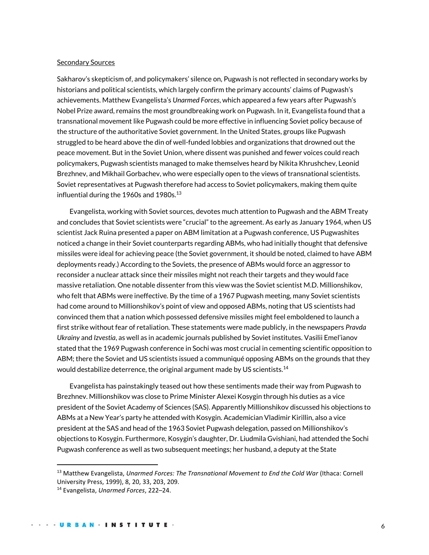#### Secondary Sources

Sakharov's skepticism of, and policymakers' silence on, Pugwash is not reflected in secondary works by historians and political scientists, which largely confirm the primary accounts' claims of Pugwash's achievements. Matthew Evangelista's *Unarmed Forces*, which appeared a few years after Pugwash's Nobel Prize award, remains the most groundbreaking work on Pugwash. In it, Evangelista found that a transnational movement like Pugwash could be more effective in influencing Soviet policy because of the structure of the authoritative Soviet government. In the United States, groups like Pugwash struggled to be heard above the din of well-funded lobbies and organizations that drowned out the peace movement. But in the Soviet Union, where dissent was punished and fewer voices could reach policymakers, Pugwash scientists managed to make themselves heard by Nikita Khrushchev, Leonid Brezhnev, and Mikhail Gorbachev, who were especially open to the views of transnational scientists. Soviet representatives at Pugwash therefore had access to Soviet policymakers, making them quite influential during the 1960s and 1980s. $13$ 

Evangelista, working with Soviet sources, devotes much attention to Pugwash and the ABM Treaty and concludes that Soviet scientists were "crucial" to the agreement. As early as January 1964, when US scientist Jack Ruina presented a paper on ABM limitation at a Pugwash conference, US Pugwashites noticed a change in their Soviet counterparts regarding ABMs, who had initially thought that defensive missiles were ideal for achieving peace (the Soviet government, it should be noted, claimed to have ABM deployments ready.) According to the Soviets, the presence of ABMs would force an aggressor to reconsider a nuclear attack since their missiles might not reach their targets and they would face massive retaliation. One notable dissenter from this view was the Soviet scientist M.D. Millionshikov, who felt that ABMs were ineffective. By the time of a 1967 Pugwash meeting, many Soviet scientists had come around to Millionshikov's point of view and opposed ABMs, noting that US scientists had convinced them that a nation which possessed defensive missiles might feel emboldened to launch a first strike without fear of retaliation. These statements were made publicly, in the newspapers *Pravda Ukrainy* and *Izvestia*, as well as in academic journals published by Soviet institutes. Vasilii Emel'ianov stated that the 1969 Pugwash conference in Sochi was most crucial in cementing scientific opposition to ABM; there the Soviet and US scientists issued a communiqué opposing ABMs on the grounds that they would destabilize deterrence, the original argument made by US scientists.<sup>14</sup>

Evangelista has painstakingly teased out how these sentiments made their way from Pugwash to Brezhnev. Millionshikov was close to Prime Minister Alexei Kosygin through his duties as a vice president of the Soviet Academy of Sciences (SAS). Apparently Millionshikov discussed his objections to ABMs at a New Year's party he attended with Kosygin. Academician Vladimir Kirillin, also a vice president at the SAS and head of the 1963 Soviet Pugwash delegation, passed on Millionshikov's objections to Kosygin. Furthermore, Kosygin's daughter, Dr. Liudmila Gvishiani, had attended the Sochi Pugwash conference as well as two subsequent meetings; her husband, a deputy at the State

<sup>&</sup>lt;sup>13</sup> Matthew Evangelista, *Unarmed Forces: The Transnational Movement to End the Cold War (Ithaca: Cornell* University Press, 1999), 8, 20, 33, 203, 209.

<sup>14</sup> Evangelista, *Unarmed Forces*, 222–24.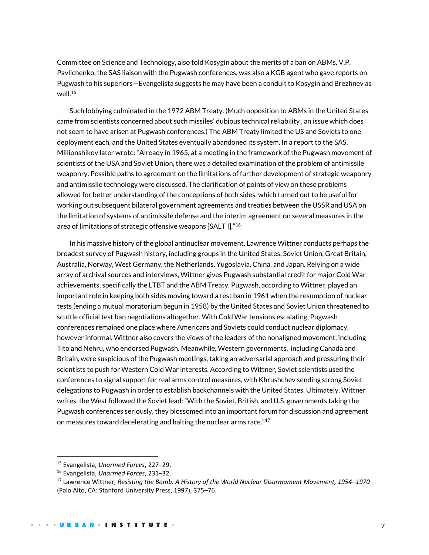Committee on Science and Technology, also told Kosygin about the merits of a ban on ABMs. V.P. Pavlichenko, the SAS liaison with the Pugwash conferences, was also a KGB agent who gave reports on Pugwash to his superiors—Evangelista suggests he may have been a conduit to Kosygin and Brezhnev as well. $15$ 

Such lobbying culminated in the 1972 ABM Treaty. (Much opposition to ABMs in the United States came from scientists concerned about such missiles' dubious technical reliability , an issue which does not seem to have arisen at Pugwash conferences.) The ABM Treaty limited the US and Soviets to one deployment each, and the United States eventually abandoned its system. In a report to the SAS, Millionshikov later wrote: "Already in 1965, at a meeting in the framework of the Pugwash movement of scientists of the USA and Soviet Union, there was a detailed examination of the problem of antimissile weaponry. Possible paths to agreement on the limitations of further development of strategic weaponry and antimissile technology were discussed. The clarification of points of view on these problems allowed for better understanding of the conceptions of both sides, which turned out to be useful for working out subsequent bilateral government agreements and treaties between the USSR and USA on the limitation of systems of antimissile defense and the interim agreement on several measures in the area of limitations of strategic offensive weapons [SALT I]."<sup>16</sup>

In his massive history of the global antinuclear movement, Lawrence Wittner conducts perhaps the broadest survey of Pugwash history, including groups in the United States, Soviet Union, Great Britain, Australia, Norway, West Germany, the Netherlands, Yugoslavia, China, and Japan. Relying on a wide array of archival sources and interviews, Wittner gives Pugwash substantial credit for major Cold War achievements, specifically the LTBT and the ABM Treaty. Pugwash, according to Wittner, played an important role in keeping both sides moving toward a test ban in 1961 when the resumption of nuclear tests (ending a mutual moratorium begun in 1958) by the United States and Soviet Union threatened to scuttle official test ban negotiations altogether. With Cold War tensions escalating, Pugwash conferences remained one place where Americans and Soviets could conduct nuclear diplomacy, however informal. Wittner also covers the views of the leaders of the nonaligned movement, including Tito and Nehru, who endorsed Pugwash. Meanwhile, Western governments, including Canada and Britain, were suspicious of the Pugwash meetings, taking an adversarial approach and pressuring their scientists to push for Western Cold War interests. According to Wittner, Soviet scientists used the conferences to signal support for real arms control measures, with Khrushchev sending strong Soviet delegations to Pugwash in order to establish backchannels with the United States. Ultimately, Wittner writes, the West followed the Soviet lead: "With the Soviet, British, and U.S. governments taking the Pugwash conferences seriously, they blossomed into an important forum for discussion and agreement on measures toward decelerating and halting the nuclear arms race."<sup>17</sup>

<sup>15</sup> Evangelista, *Unarmed Forces*, 227–29.

<sup>16</sup> Evangelista, *Unarmed Forces*, 231–32.

<sup>17</sup> Lawrence Wittner, *Resisting the Bomb: A History of the World Nuclear Disarmament Movement, 1954–1970*  (Palo Alto, CA: Stanford University Press, 1997), 375–76.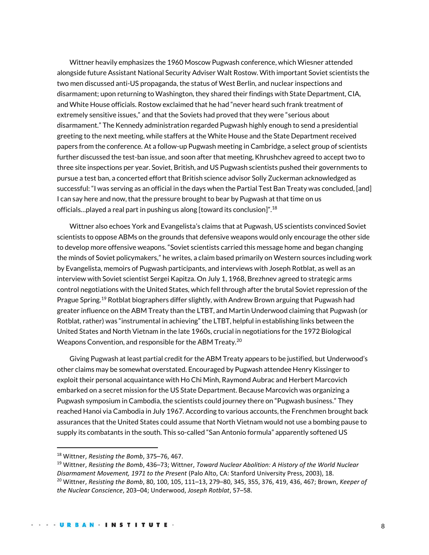Wittner heavily emphasizes the 1960 Moscow Pugwash conference, which Wiesner attended alongside future Assistant National Security Adviser Walt Rostow. With important Soviet scientists the two men discussed anti-US propaganda, the status of West Berlin, and nuclear inspections and disarmament; upon returning to Washington, they shared their findings with State Department, CIA, and White House officials. Rostow exclaimed that he had "never heard such frank treatment of extremely sensitive issues," and that the Soviets had proved that they were "serious about disarmament." The Kennedy administration regarded Pugwash highly enough to send a presidential greeting to the next meeting, while staffers at the White House and the State Department received papers from the conference. At a follow-up Pugwash meeting in Cambridge, a select group of scientists further discussed the test-ban issue, and soon after that meeting, Khrushchev agreed to accept two to three site inspections per year. Soviet, British, and US Pugwash scientists pushed their governments to pursue a test ban, a concerted effort that British science advisor Solly Zuckerman acknowledged as successful: "I was serving as an official in the days when the Partial Test Ban Treaty was concluded, [and] I can say here and now, that the pressure brought to bear by Pugwash at that time on us officials…played a real part in pushing us along [toward its conclusion]".<sup>18</sup>

Wittner also echoes York and Evangelista's claims that at Pugwash, US scientists convinced Soviet scientists to oppose ABMs on the grounds that defensive weapons would only encourage the other side to develop more offensive weapons. "Soviet scientists carried this message home and began changing the minds of Soviet policymakers," he writes, a claim based primarily on Western sources including work by Evangelista, memoirs of Pugwash participants, and interviews with Joseph Rotblat, as well as an interview with Soviet scientist Sergei Kapitza. On July 1, 1968, Brezhnev agreed to strategic arms control negotiations with the United States, which fell through after the brutal Soviet repression of the Prague Spring.<sup>19</sup> Rotblat biographers differ slightly, with Andrew Brown arguing that Pugwash had greater influence on the ABM Treaty than the LTBT, and Martin Underwood claiming that Pugwash (or Rotblat, rather) was "instrumental in achieving" the LTBT, helpful in establishing links between the United States and North Vietnam in the late 1960s, crucial in negotiations for the 1972 Biological Weapons Convention, and responsible for the ABM Treaty.<sup>20</sup>

Giving Pugwash at least partial credit for the ABM Treaty appears to be justified, but Underwood's other claims may be somewhat overstated. Encouraged by Pugwash attendee Henry Kissinger to exploit their personal acquaintance with Ho Chi Minh, Raymond Aubrac and Herbert Marcovich embarked on a secret mission for the US State Department. Because Marcovich was organizing a Pugwash symposium in Cambodia, the scientists could journey there on "Pugwash business." They reached Hanoi via Cambodia in July 1967. According to various accounts, the Frenchmen brought back assurances that the United States could assume that North Vietnam would not use a bombing pause to supply its combatants in the south. This so-called "San Antonio formula" apparently softened US

<sup>18</sup> Wittner, *Resisting the Bomb*, 375–76, 467.

<sup>19</sup> Wittner, *Resisting the Bomb*, 436–73; Wittner, *Toward Nuclear Abolition: A History of the World Nuclear Disarmament Movement, 1971 to the Present* (Palo Alto, CA: Stanford University Press, 2003), 18. <sup>20</sup> Wittner, *Resisting the Bomb*, 80, 100, 105, 111–13, 279–80, 345, 355, 376, 419, 436, 467; Brown, *Keeper of the Nuclear Conscience*, 203–04; Underwood, *Joseph Rotblat*, 57–58.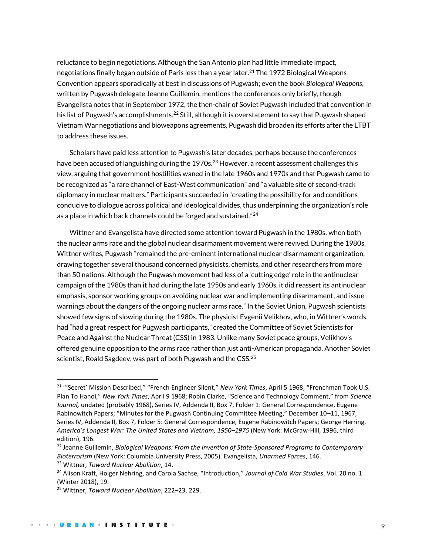reluctance to begin negotiations. Although the San Antonio plan had little immediate impact, negotiations finally began outside of Paris less than a year later.<sup>21</sup> The 1972 Biological Weapons Convention appears sporadically at best in discussions of Pugwash; even the book *Biological Weapons*, written by Pugwash delegate Jeanne Guillemin, mentions the conferences only briefly, though Evangelista notes that in September 1972, the then-chair of Soviet Pugwash included that convention in his list of Pugwash's accomplishments.<sup>22</sup> Still, although it is overstatement to say that Pugwash shaped Vietnam War negotiations and bioweapons agreements, Pugwash did broaden its efforts after the LTBT to address these issues.

Scholars have paid less attention to Pugwash's later decades, perhaps because the conferences have been accused of languishing during the 1970s.<sup>23</sup> However, a recent assessment challenges this view, arguing that government hostilities waned in the late 1960s and 1970s and that Pugwash came to be recognized as "a rare channel of East-West communication" and "a valuable site of second-track diplomacy in nuclear matters." Participants succeeded in "creating the possibility for and conditions conducive to dialogue across political and ideological divides, thus underpinning the organization's role as a place in which back channels could be forged and sustained."<sup>24</sup>

Wittner and Evangelista have directed some attention toward Pugwash in the 1980s, when both the nuclear arms race and the global nuclear disarmament movement were revived. During the 1980s, Wittner writes, Pugwash "remained the pre-eminent international nuclear disarmament organization, drawing together several thousand concerned physicists, chemists, and other researchers from more than 50 nations. Although the Pugwash movement had less of a 'cutting edge' role in the antinuclear campaign of the 1980s than it had during the late 1950s and early 1960s, it did reassert its antinuclear emphasis, sponsor working groups on avoiding nuclear war and implementing disarmament, and issue warnings about the dangers of the ongoing nuclear arms race." In the Soviet Union, Pugwash scientists showed few signs of slowing during the 1980s. The physicist Evgenii Velikhov, who, in Wittner's words, had "had a great respect for Pugwash participants," created the Committee of Soviet Scientists for Peace and Against the Nuclear Threat (CSS) in 1983. Unlike many Soviet peace groups, Velikhov's offered genuine opposition to the arms race rather than just anti-American propaganda. Another Soviet scientist, Roald Sagdeev, was part of both Pugwash and the CSS.<sup>25</sup>

<sup>21</sup> "'Secret' Mission Described," "French Engineer Silent," *New York Times*, April 5 1968; "Frenchman Took U.S. Plan To Hanoi," *New York Times*, April 9 1968; Robin Clarke, "Science and Technology Comment," from *Science Journal,* undated (probably 1968), Series IV, Addenda II, Box 7, Folder 1: General Correspondence, Eugene Rabinowitch Papers; "Minutes for the Pugwash Continuing Committee Meeting," December 10–11, 1967, Series IV, Addenda II, Box 7, Folder 5: General Correspondence, Eugene Rabinowitch Papers; George Herring, *America's Longest War: The United States and Vietnam, 1950–1975* (New York: McGraw-Hill, 1996, third edition), 196.

<sup>22</sup> Jeanne Guillemin, *Biological Weapons: From the Invention of State-Sponsored Programs to Contemporary Bioterrorism* (New York: Columbia University Press, 2005). Evangelista, *Unarmed Forces*, 146.

<sup>23</sup> Wittner, *Toward Nuclear Abolition*, 14.

<sup>24</sup> Alison Kraft, Holger Nehring, and Carola Sachse, "Introduction," *Journal of Cold War Studies*, Vol. 20 no. 1 (Winter 2018), 19.

<sup>25</sup> Wittner, *Toward Nuclear Abolition*, 222–23, 229.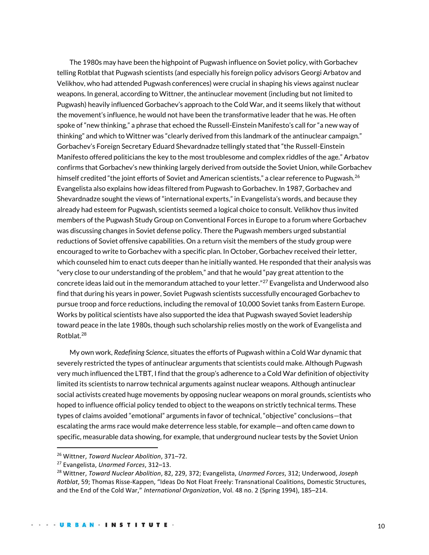The 1980s may have been the highpoint of Pugwash influence on Soviet policy, with Gorbachev telling Rotblat that Pugwash scientists (and especially his foreign policy advisors Georgi Arbatov and Velikhov, who had attended Pugwash conferences) were crucial in shaping his views against nuclear weapons. In general, according to Wittner, the antinuclear movement (including but not limited to Pugwash) heavily influenced Gorbachev's approach to the Cold War, and it seems likely that without the movement's influence, he would not have been the transformative leader that he was. He often spoke of "new thinking," a phrase that echoed the Russell-Einstein Manifesto's call for "a new way of thinking" and which to Wittner was "clearly derived from this landmark of the antinuclear campaign." Gorbachev's Foreign Secretary Eduard Shevardnadze tellingly stated that "the Russell-Einstein Manifesto offered politicians the key to the most troublesome and complex riddles of the age." Arbatov confirms that Gorbachev's new thinking largely derived from outside the Soviet Union, while Gorbachev himself credited "the joint efforts of Soviet and American scientists," a clear reference to Pugwash.<sup>26</sup> Evangelista also explains how ideas filtered from Pugwash to Gorbachev. In 1987, Gorbachev and Shevardnadze sought the views of "international experts," in Evangelista's words, and because they already had esteem for Pugwash, scientists seemed a logical choice to consult. Velikhov thus invited members of the Pugwash Study Group on Conventional Forces in Europe to a forum where Gorbachev was discussing changes in Soviet defense policy. There the Pugwash members urged substantial reductions of Soviet offensive capabilities. On a return visit the members of the study group were encouraged to write to Gorbachev with a specific plan. In October, Gorbachev received their letter, which counseled him to enact cuts deeper than he initially wanted. He responded that their analysis was "very close to our understanding of the problem," and that he would "pay great attention to the concrete ideas laid out in the memorandum attached to your letter."<sup>27</sup> Evangelista and Underwood also find that during his years in power, Soviet Pugwash scientists successfully encouraged Gorbachev to pursue troop and force reductions, including the removal of 10,000 Soviet tanks from Eastern Europe. Works by political scientists have also supported the idea that Pugwash swayed Soviet leadership toward peace in the late 1980s, though such scholarship relies mostly on the work of Evangelista and Rotblat.<sup>28</sup>

My own work, *Redefining Science*, situates the efforts of Pugwash within a Cold War dynamic that severely restricted the types of antinuclear arguments that scientists could make. Although Pugwash very much influenced the LTBT, I find that the group's adherence to a Cold War definition of objectivity limited its scientists to narrow technical arguments against nuclear weapons. Although antinuclear social activists created huge movements by opposing nuclear weapons on moral grounds, scientists who hoped to influence official policy tended to object to the weapons on strictly technical terms. These types of claims avoided "emotional" arguments in favor of technical, "objective" conclusions—that escalating the arms race would make deterrence less stable, for example—and often came down to specific, measurable data showing, for example, that underground nuclear tests by the Soviet Union

<sup>26</sup> Wittner, *Toward Nuclear Abolition*, 371–72.

<sup>27</sup> Evangelista, *Unarmed Forces*, 312–13.

<sup>28</sup> Wittner, *Toward Nuclear Abolition*, 82, 229, 372; Evangelista, *Unarmed Forces*, 312; Underwood, *Joseph Rotblat*, 59; Thomas Risse-Kappen, "Ideas Do Not Float Freely: Transnational Coalitions, Domestic Structures, and the End of the Cold War," *International Organization*, Vol. 48 no. 2 (Spring 1994), 185–214.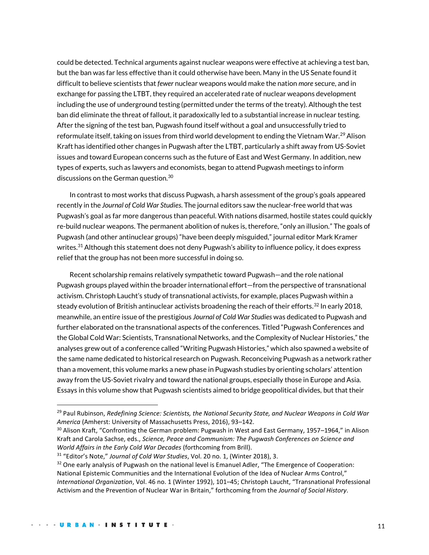could be detected. Technical arguments against nuclear weapons were effective at achieving a test ban, but the ban was far less effective than it could otherwise have been. Many in the US Senate found it difficult to believe scientists that *fewer* nuclear weapons would make the nation *more* secure, and in exchange for passing the LTBT, they required an accelerated rate of nuclear weapons development including the use of underground testing (permitted under the terms of the treaty). Although the test ban did eliminate the threat of fallout, it paradoxically led to a substantial increase in nuclear testing. After the signing of the test ban, Pugwash found itself without a goal and unsuccessfully tried to reformulate itself, taking on issues from third world development to ending the Vietnam War.<sup>29</sup> Alison Kraft has identified other changes in Pugwash after the LTBT, particularly a shift away from US-Soviet issues and toward European concerns such as the future of East and West Germany. In addition, new types of experts, such as lawyers and economists, began to attend Pugwash meetings to inform discussions on the German question.<sup>30</sup>

In contrast to most works that discuss Pugwash, a harsh assessment of the group's goals appeared recently in the *Journal of Cold War Studies*. The journal editors saw the nuclear-free world that was Pugwash's goal as far more dangerous than peaceful. With nations disarmed, hostile states could quickly re-build nuclear weapons. The permanent abolition of nukes is, therefore, "only an illusion." The goals of Pugwash (and other antinuclear groups) "have been deeply misguided," journal editor Mark Kramer writes.<sup>31</sup> Although this statement does not deny Pugwash's ability to influence policy, it does express relief that the group has not been more successful in doing so.

Recent scholarship remains relatively sympathetic toward Pugwash—and the role national Pugwash groups played within the broader international effort—from the perspective of transnational activism. Christoph Laucht's study of transnational activists, for example, places Pugwash within a steady evolution of British antinuclear activists broadening the reach of their efforts. $32$  In early 2018, meanwhile, an entire issue of the prestigious *Journal of Cold War Studies* was dedicated to Pugwash and further elaborated on the transnational aspects of the conferences. Titled "Pugwash Conferences and the Global Cold War: Scientists, Transnational Networks, and the Complexity of Nuclear Histories," the analyses grew out of a conference called "Writing Pugwash Histories," which also spawned a website of the same name dedicated to historical research on Pugwash. Reconceiving Pugwash as a network rather than a movement, this volume marks a new phase in Pugwash studies by orienting scholars' attention away from the US-Soviet rivalry and toward the national groups, especially those in Europe and Asia. Essays in this volume show that Pugwash scientists aimed to bridge geopolitical divides, but that their

<sup>29</sup> Paul Rubinson, *Redefining Science: Scientists, the National Security State, and Nuclear Weapons in Cold War America* (Amherst: University of Massachusetts Press, 2016), 93–142.

 $30$  Alison Kraft, "Confronting the German problem: Pugwash in West and East Germany, 1957–1964," in Alison Kraft and Carola Sachse, eds., *Science, Peace and Communism: The Pugwash Conferences on Science and World Affairs in the Early Cold War Decades* (forthcoming from Brill).

<sup>31</sup> "Editor's Note," *Journal of Cold War Studies*, Vol. 20 no. 1, (Winter 2018), 3.

<sup>&</sup>lt;sup>32</sup> One early analysis of Pugwash on the national level is Emanuel Adler, "The Emergence of Cooperation: National Epistemic Communities and the International Evolution of the Idea of Nuclear Arms Control," *International Organization*, Vol. 46 no. 1 (Winter 1992), 101–45; Christoph Laucht, "Transnational Professional Activism and the Prevention of Nuclear War in Britain," forthcoming from the *Journal of Social History*.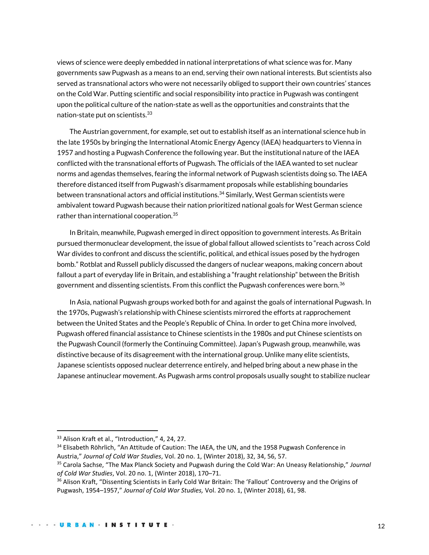views of science were deeply embedded in national interpretations of what science was for. Many governments saw Pugwash as a means to an end, serving their own national interests. But scientists also served as transnational actors who were not necessarily obliged to support their own countries' stances on the Cold War. Putting scientific and social responsibility into practice in Pugwash was contingent upon the political culture of the nation-state as well as the opportunities and constraints that the nation-state put on scientists.<sup>33</sup>

The Austrian government, for example, set out to establish itself as an international science hub in the late 1950s by bringing the International Atomic Energy Agency (IAEA) headquarters to Vienna in 1957 and hosting a Pugwash Conference the following year. But the institutional nature of the IAEA conflicted with the transnational efforts of Pugwash. The officials of the IAEA wanted to set nuclear norms and agendas themselves, fearing the informal network of Pugwash scientists doing so. The IAEA therefore distanced itself from Pugwash's disarmament proposals while establishing boundaries between transnational actors and official institutions.<sup>34</sup> Similarly, West German scientists were ambivalent toward Pugwash because their nation prioritized national goals for West German science rather than international cooperation.<sup>35</sup>

In Britain, meanwhile, Pugwash emerged in direct opposition to government interests. As Britain pursued thermonuclear development, the issue of global fallout allowed scientists to "reach across Cold War divides to confront and discuss the scientific, political, and ethical issues posed by the hydrogen bomb." Rotblat and Russell publicly discussed the dangers of nuclear weapons, making concern about fallout a part of everyday life in Britain, and establishing a "fraught relationship" between the British government and dissenting scientists. From this conflict the Pugwash conferences were born.<sup>36</sup>

In Asia, national Pugwash groups worked both for and against the goals of international Pugwash. In the 1970s, Pugwash's relationship with Chinese scientists mirrored the efforts at rapprochement between the United States and the People's Republic of China. In order to get China more involved, Pugwash offered financial assistance to Chinese scientists in the 1980s and put Chinese scientists on the Pugwash Council (formerly the Continuing Committee). Japan's Pugwash group, meanwhile, was distinctive because of its disagreement with the international group. Unlike many elite scientists, Japanese scientists opposed nuclear deterrence entirely, and helped bring about a new phase in the Japanese antinuclear movement. As Pugwash arms control proposals usually sought to stabilize nuclear

<sup>&</sup>lt;sup>33</sup> Alison Kraft et al., "Introduction," 4, 24, 27.

<sup>&</sup>lt;sup>34</sup> Elisabeth Röhrlich, "An Attitude of Caution: The IAEA, the UN, and the 1958 Pugwash Conference in Austria," *Journal of Cold War Studies*, Vol. 20 no. 1, (Winter 2018), 32, 34, 56, 57.

<sup>35</sup> Carola Sachse, "The Max Planck Society and Pugwash during the Cold War: An Uneasy Relationship," *Journal of Cold War Studies*, Vol. 20 no. 1, (Winter 2018), 170–71.

<sup>&</sup>lt;sup>36</sup> Alison Kraft, "Dissenting Scientists in Early Cold War Britain: The 'Fallout' Controversy and the Origins of Pugwash, 1954–1957," *Journal of Cold War Studies,* Vol. 20 no. 1, (Winter 2018), 61, 98.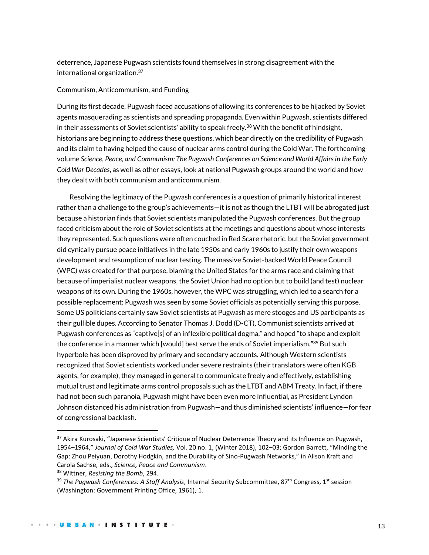deterrence, Japanese Pugwash scientists found themselves in strong disagreement with the international organization.<sup>37</sup>

#### Communism, Anticommunism, and Funding

During its first decade, Pugwash faced accusations of allowing its conferences to be hijacked by Soviet agents masquerading as scientists and spreading propaganda. Even within Pugwash, scientists differed in their assessments of Soviet scientists' ability to speak freely.<sup>38</sup> With the benefit of hindsight, historians are beginning to address these questions, which bear directly on the credibility of Pugwash and its claim to having helped the cause of nuclear arms control during the Cold War. The forthcoming volume *Science, Peace, and Communism: The Pugwash Conferences on Science and World Affairs in the Early Cold War Decades*, as well as other essays, look at national Pugwash groups around the world and how they dealt with both communism and anticommunism.

Resolving the legitimacy of the Pugwash conferences is a question of primarily historical interest rather than a challenge to the group's achievements—it is not as though the LTBT will be abrogated just because a historian finds that Soviet scientists manipulated the Pugwash conferences. But the group faced criticism about the role of Soviet scientists at the meetings and questions about whose interests they represented. Such questions were often couched in Red Scare rhetoric, but the Soviet government did cynically pursue peace initiatives in the late 1950s and early 1960s to justify their own weapons development and resumption of nuclear testing. The massive Soviet-backed World Peace Council (WPC) was created for that purpose, blaming the United States for the arms race and claiming that because of imperialist nuclear weapons, the Soviet Union had no option but to build (and test) nuclear weapons of its own. During the 1960s, however, the WPC was struggling, which led to a search for a possible replacement; Pugwash was seen by some Soviet officials as potentially serving this purpose. Some US politicians certainly saw Soviet scientists at Pugwash as mere stooges and US participants as their gullible dupes. According to Senator Thomas J. Dodd (D-CT), Communist scientists arrived at Pugwash conferences as "captive[s] of an inflexible political dogma," and hoped "to shape and exploit the conference in a manner which [would] best serve the ends of Soviet imperialism." <sup>39</sup> But such hyperbole has been disproved by primary and secondary accounts. Although Western scientists recognized that Soviet scientists worked under severe restraints (their translators were often KGB agents, for example), they managed in general to communicate freely and effectively, establishing mutual trust and legitimate arms control proposals such as the LTBT and ABM Treaty. In fact, if there had not been such paranoia, Pugwash might have been even more influential, as President Lyndon Johnson distanced his administration from Pugwash—and thus diminished scientists' influence—for fear of congressional backlash.

<sup>&</sup>lt;sup>37</sup> Akira Kurosaki, "Japanese Scientists' Critique of Nuclear Deterrence Theory and its Influence on Pugwash, 1954–1964," *Journal of Cold War Studies,* Vol. 20 no. 1, (Winter 2018), 102–03; Gordon Barrett, "Minding the Gap: Zhou Peiyuan, Dorothy Hodgkin, and the Durability of Sino-Pugwash Networks," in Alison Kraft and Carola Sachse, eds., *Science, Peace and Communism*.

<sup>38</sup> Wittner, *Resisting the Bomb*, 294.

<sup>&</sup>lt;sup>39</sup> The Pugwash Conferences: A Staff Analysis, Internal Security Subcommittee, 87<sup>th</sup> Congress, 1<sup>st</sup> session (Washington: Government Printing Office, 1961), 1.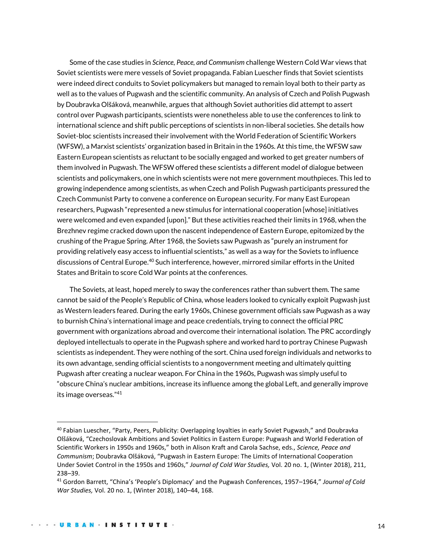Some of the case studies in *Science, Peace, and Communism* challenge Western Cold War views that Soviet scientists were mere vessels of Soviet propaganda. Fabian Luescher finds that Soviet scientists were indeed direct conduits to Soviet policymakers but managed to remain loyal both to their party as well as to the values of Pugwash and the scientific community. An analysis of Czech and Polish Pugwash by Doubravka Olšáková, meanwhile, argues that although Soviet authorities did attempt to assert control over Pugwash participants, scientists were nonetheless able to use the conferences to link to international science and shift public perceptions of scientists in non-liberal societies. She details how Soviet-bloc scientists increased their involvement with the World Federation of Scientific Workers (WFSW), a Marxist scientists' organization based in Britain in the 1960s. At this time, the WFSW saw Eastern European scientists as reluctant to be socially engaged and worked to get greater numbers of them involved in Pugwash. The WFSW offered these scientists a different model of dialogue between scientists and policymakers, one in which scientists were not mere government mouthpieces. This led to growing independence among scientists, as when Czech and Polish Pugwash participants pressured the Czech Communist Party to convene a conference on European security. For many East European researchers, Pugwash "represented a new stimulus for international cooperation [whose] initiatives were welcomed and even expanded [upon]." But these activities reached their limits in 1968, when the Brezhnev regime cracked down upon the nascent independence of Eastern Europe, epitomized by the crushing of the Prague Spring. After 1968, the Soviets saw Pugwash as "purely an instrument for providing relatively easy access to influential scientists," as well as a way for the Soviets to influence discussions of Central Europe.<sup>40</sup> Such interference, however, mirrored similar efforts in the United States and Britain to score Cold War points at the conferences.

The Soviets, at least, hoped merely to sway the conferences rather than subvert them. The same cannot be said of the People's Republic of China, whose leaders looked to cynically exploit Pugwash just as Western leaders feared. During the early 1960s, Chinese government officials saw Pugwash as a way to burnish China's international image and peace credentials, trying to connect the official PRC government with organizations abroad and overcome their international isolation. The PRC accordingly deployed intellectuals to operate in the Pugwash sphere and worked hard to portray Chinese Pugwash scientists as independent. They were nothing of the sort. China used foreign individuals and networks to its own advantage, sending official scientists to a nongovernment meeting and ultimately quitting Pugwash after creating a nuclear weapon. For China in the 1960s, Pugwash was simply useful to "obscure China's nuclear ambitions, increase its influence among the global Left, and generally improve its image overseas."<sup>41</sup>

<sup>40</sup> Fabian Luescher, "Party, Peers, Publicity: Overlapping loyalties in early Soviet Pugwash," and Doubravka Olšáková, "Czechoslovak Ambitions and Soviet Politics in Eastern Europe: Pugwash and World Federation of Scientific Workers in 1950s and 1960s," both in Alison Kraft and Carola Sachse, eds., *Science, Peace and Communism*; Doubravka Olšáková, "Pugwash in Eastern Europe: The Limits of International Cooperation Under Soviet Control in the 1950s and 1960s," *Journal of Cold War Studies,* Vol. 20 no. 1, (Winter 2018), 211, 238–39.

<sup>41</sup> Gordon Barrett, "China's 'People's Diplomacy' and the Pugwash Conferences, 1957–1964," *Journal of Cold War Studies,* Vol. 20 no. 1, (Winter 2018), 140–44, 168.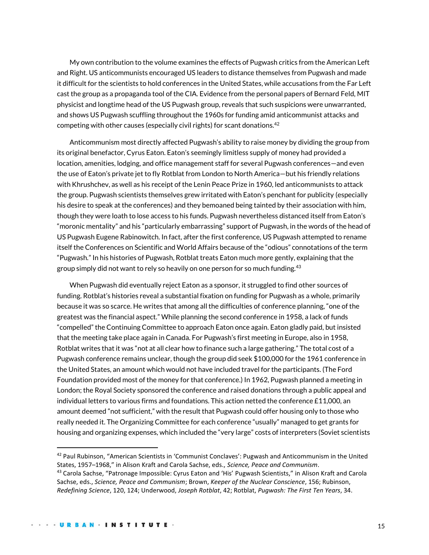My own contribution to the volume examines the effects of Pugwash critics from the American Left and Right. US anticommunists encouraged US leaders to distance themselves from Pugwash and made it difficult for the scientists to hold conferences in the United States, while accusations from the Far Left cast the group as a propaganda tool of the CIA. Evidence from the personal papers of Bernard Feld, MIT physicist and longtime head of the US Pugwash group, reveals that such suspicions were unwarranted, and shows US Pugwash scuffling throughout the 1960s for funding amid anticommunist attacks and competing with other causes (especially civil rights) for scant donations.<sup>42</sup>

Anticommunism most directly affected Pugwash's ability to raise money by dividing the group from its original benefactor, Cyrus Eaton. Eaton's seemingly limitless supply of money had provided a location, amenities, lodging, and office management staff for several Pugwash conferences—and even the use of Eaton's private jet to fly Rotblat from London to North America—but his friendly relations with Khrushchev, as well as his receipt of the Lenin Peace Prize in 1960, led anticommunists to attack the group. Pugwash scientists themselves grew irritated with Eaton's penchant for publicity (especially his desire to speak at the conferences) and they bemoaned being tainted by their association with him, though they were loath to lose access to his funds. Pugwash nevertheless distanced itself from Eaton's "moronic mentality" and his "particularly embarrassing" support of Pugwash, in the words of the head of US Pugwash Eugene Rabinowitch. In fact, after the first conference, US Pugwash attempted to rename itself the Conferences on Scientific and World Affairs because of the "odious" connotations of the term "Pugwash." In his histories of Pugwash, Rotblat treats Eaton much more gently, explaining that the group simply did not want to rely so heavily on one person for so much funding.<sup>43</sup>

When Pugwash did eventually reject Eaton as a sponsor, it struggled to find other sources of funding. Rotblat's histories reveal a substantial fixation on funding for Pugwash as a whole, primarily because it was so scarce. He writes that among all the difficulties of conference planning, "one of the greatest was the financial aspect." While planning the second conference in 1958, a lack of funds "compelled" the Continuing Committee to approach Eaton once again. Eaton gladly paid, but insisted that the meeting take place again in Canada. For Pugwash's first meeting in Europe, also in 1958, Rotblat writes that it was "not at all clear how to finance such a large gathering." The total cost of a Pugwash conference remains unclear, though the group did seek \$100,000 for the 1961 conference in the United States, an amount which would not have included travel for the participants. (The Ford Foundation provided most of the money for that conference.) In 1962, Pugwash planned a meeting in London; the Royal Society sponsored the conference and raised donations through a public appeal and individual letters to various firms and foundations. This action netted the conference £11,000, an amount deemed "not sufficient," with the result that Pugwash could offer housing only to those who really needed it. The Organizing Committee for each conference "usually" managed to get grants for housing and organizing expenses, which included the "very large" costs of interpreters (Soviet scientists

<sup>42</sup> Paul Rubinson, "American Scientists in 'Communist Conclaves': Pugwash and Anticommunism in the United States, 1957–1968," in Alison Kraft and Carola Sachse, eds., *Science, Peace and Communism*.

<sup>&</sup>lt;sup>43</sup> Carola Sachse, "Patronage Impossible: Cyrus Eaton and 'His' Pugwash Scientists," in Alison Kraft and Carola Sachse, eds., *Science, Peace and Communism*; Brown, *Keeper of the Nuclear Conscience*, 156; Rubinson, *Redefining Science*, 120, 124; Underwood, *Joseph Rotblat*, 42; Rotblat, *Pugwash: The First Ten Years*, 34.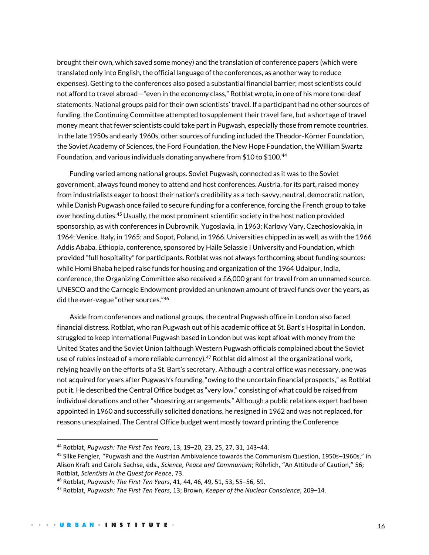brought their own, which saved some money) and the translation of conference papers (which were translated only into English, the official language of the conferences, as another way to reduce expenses). Getting to the conferences also posed a substantial financial barrier; most scientists could not afford to travel abroad—"even in the economy class," Rotblat wrote, in one of his more tone-deaf statements. National groups paid for their own scientists' travel. If a participant had no other sources of funding, the Continuing Committee attempted to supplement their travel fare, but a shortage of travel money meant that fewer scientists could take part in Pugwash, especially those from remote countries. In the late 1950s and early 1960s, other sources of funding included the Theodor-Körner Foundation, the Soviet Academy of Sciences, the Ford Foundation, the New Hope Foundation, the William Swartz Foundation, and various individuals donating anywhere from \$10 to \$100.<sup>44</sup>

Funding varied among national groups. Soviet Pugwash, connected as it was to the Soviet government, always found money to attend and host conferences. Austria, for its part, raised money from industrialists eager to boost their nation's credibility as a tech-savvy, neutral, democratic nation, while Danish Pugwash once failed to secure funding for a conference, forcing the French group to take over hosting duties.<sup>45</sup> Usually, the most prominent scientific society in the host nation provided sponsorship, as with conferences in Dubrovnik, Yugoslavia, in 1963; Karlovy Vary, Czechoslovakia, in 1964; Venice, Italy, in 1965; and Sopot, Poland, in 1966. Universities chipped in as well, as with the 1966 Addis Ababa, Ethiopia, conference, sponsored by Haile Selassie I University and Foundation, which provided "full hospitality" for participants. Rotblat was not always forthcoming about funding sources: while Homi Bhaba helped raise funds for housing and organization of the 1964 Udaipur, India, conference, the Organizing Committee also received a £6,000 grant for travel from an unnamed source. UNESCO and the Carnegie Endowment provided an unknown amount of travel funds over the years, as did the ever-vague "other sources."<sup>46</sup>

Aside from conferences and national groups, the central Pugwash office in London also faced financial distress. Rotblat, who ran Pugwash out of his academic office at St. Bart's Hospital in London, struggled to keep international Pugwash based in London but was kept afloat with money from the United States and the Soviet Union (although Western Pugwash officials complained about the Soviet use of rubles instead of a more reliable currency).<sup>47</sup> Rotblat did almost all the organizational work, relying heavily on the efforts of a St. Bart's secretary. Although a central office was necessary, one was not acquired for years after Pugwash's founding, "owing to the uncertain financial prospects," as Rotblat put it. He described the Central Office budget as "very low," consisting of what could be raised from individual donations and other "shoestring arrangements." Although a public relations expert had been appointed in 1960 and successfully solicited donations, he resigned in 1962 and was not replaced, for reasons unexplained. The Central Office budget went mostly toward printing the Conference

<sup>44</sup> Rotblat, *Pugwash: The First Ten Years*, 13, 19–20, 23, 25, 27, 31, 143–44.

<sup>45</sup> Silke Fengler, "Pugwash and the Austrian Ambivalence towards the Communism Question, 1950s–1960s," in Alison Kraft and Carola Sachse, eds., *Science, Peace and Communism*; Röhrlich, "An Attitude of Caution," 56; Rotblat, *Scientists in the Quest for Peace*, 73.

<sup>46</sup> Rotblat, *Pugwash: The First Ten Years*, 41, 44, 46, 49, 51, 53, 55–56, 59.

<sup>47</sup> Rotblat, *Pugwash: The First Ten Years*, 13; Brown, *Keeper of the Nuclear Conscience*, 209–14.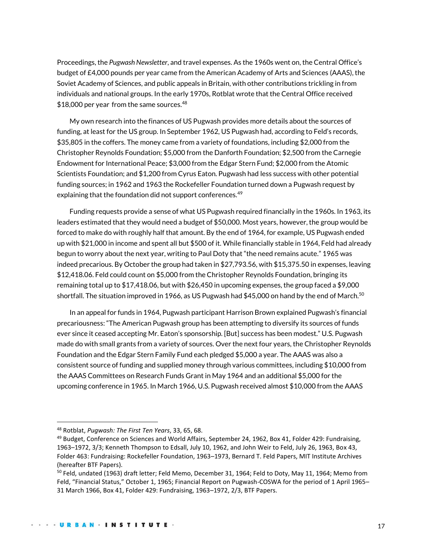Proceedings, the *Pugwash Newsletter*, and travel expenses. As the 1960s went on, the Central Office's budget of £4,000 pounds per year came from the American Academy of Arts and Sciences (AAAS), the Soviet Academy of Sciences, and public appeals in Britain, with other contributions trickling in from individuals and national groups. In the early 1970s, Rotblat wrote that the Central Office received \$18,000 per year from the same sources.  $48$ 

My own research into the finances of US Pugwash provides more details about the sources of funding, at least for the US group. In September 1962, US Pugwash had, according to Feld's records, \$35,805 in the coffers. The money came from a variety of foundations, including \$2,000 from the Christopher Reynolds Foundation; \$5,000 from the Danforth Foundation; \$2,500 from the Carnegie Endowment for International Peace; \$3,000 from the Edgar Stern Fund; \$2,000 from the Atomic Scientists Foundation; and \$1,200 from Cyrus Eaton. Pugwash had less success with other potential funding sources; in 1962 and 1963 the Rockefeller Foundation turned down a Pugwash request by explaining that the foundation did not support conferences.<sup>49</sup>

Funding requests provide a sense of what US Pugwash required financially in the 1960s. In 1963, its leaders estimated that they would need a budget of \$50,000. Most years, however, the group would be forced to make do with roughly half that amount. By the end of 1964, for example, US Pugwash ended up with \$21,000 in income and spent all but \$500 of it. While financially stable in 1964, Feld had already begun to worry about the next year, writing to Paul Doty that "the need remains acute." 1965 was indeed precarious. By October the group had taken in \$27,793.56, with \$15,375.50 in expenses, leaving \$12,418.06. Feld could count on \$5,000 from the Christopher Reynolds Foundation, bringing its remaining total up to \$17,418.06, but with \$26,450 in upcoming expenses, the group faced a \$9,000 shortfall. The situation improved in 1966, as US Pugwash had \$45,000 on hand by the end of March.<sup>50</sup>

In an appeal for funds in 1964, Pugwash participant Harrison Brown explained Pugwash's financial precariousness: "The American Pugwash group has been attempting to diversify its sources of funds ever since it ceased accepting Mr. Eaton's sponsorship. [But] success has been modest." U.S. Pugwash made do with small grants from a variety of sources. Over the next four years, the Christopher Reynolds Foundation and the Edgar Stern Family Fund each pledged \$5,000 a year. The AAAS was also a consistent source of funding and supplied money through various committees, including \$10,000 from the AAAS Committees on Research Funds Grant in May 1964 and an additional \$5,000 for the upcoming conference in 1965. In March 1966, U.S. Pugwash received almost \$10,000 from the AAAS

<sup>48</sup> Rotblat, *Pugwash: The First Ten Years*, 33, 65, 68.

<sup>&</sup>lt;sup>49</sup> Budget, Conference on Sciences and World Affairs, September 24, 1962, Box 41, Folder 429: Fundraising, 1963–1972, 3/3; Kenneth Thompson to Edsall, July 10, 1962, and John Weir to Feld, July 26, 1963, Box 43, Folder 463: Fundraising: Rockefeller Foundation, 1963–1973, Bernard T. Feld Papers, MIT Institute Archives (hereafter BTF Papers).

<sup>&</sup>lt;sup>50</sup> Feld, undated (1963) draft letter; Feld Memo, December 31, 1964; Feld to Doty, May 11, 1964; Memo from Feld, "Financial Status," October 1, 1965; Financial Report on Pugwash-COSWA for the period of 1 April 1965– 31 March 1966, Box 41, Folder 429: Fundraising, 1963–1972, 2/3, BTF Papers.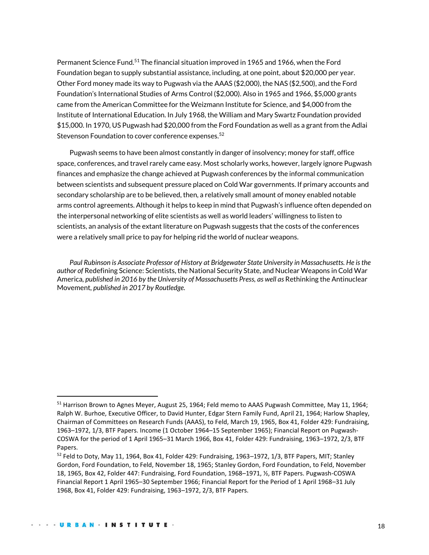Permanent Science Fund.<sup>51</sup> The financial situation improved in 1965 and 1966, when the Ford Foundation began to supply substantial assistance, including, at one point, about \$20,000 per year. Other Ford money made its way to Pugwash via the AAAS (\$2,000), the NAS (\$2,500), and the Ford Foundation's International Studies of Arms Control (\$2,000). Also in 1965 and 1966, \$5,000 grants came from the American Committee for the Weizmann Institute for Science, and \$4,000 from the Institute of International Education. In July 1968, the William and Mary Swartz Foundation provided \$15,000. In 1970, US Pugwash had \$20,000 from the Ford Foundation as well as a grant from the Adlai Stevenson Foundation to cover conference expenses.<sup>52</sup>

Pugwash seems to have been almost constantly in danger of insolvency; money for staff, office space, conferences, and travel rarely came easy. Most scholarly works, however, largely ignore Pugwash finances and emphasize the change achieved at Pugwash conferences by the informal communication between scientists and subsequent pressure placed on Cold War governments. If primary accounts and secondary scholarship are to be believed, then, a relatively small amount of money enabled notable arms control agreements. Although it helps to keep in mind that Pugwash's influence often depended on the interpersonal networking of elite scientists as well as world leaders' willingness to listen to scientists, an analysis of the extant literature on Pugwash suggests that the costs of the conferences were a relatively small price to pay for helping rid the world of nuclear weapons.

Paul Rubinson is Associate Professor of History at Bridgewater State University in Massachusetts. He is the *author of* Redefining Science: Scientists, the National Security State, and Nuclear Weapons in Cold War America*, published in 2016 by the University of Massachusetts Press, as well as* Rethinking the Antinuclear Movement*, published in 2017 by Routledge.*

<sup>51</sup> Harrison Brown to Agnes Meyer, August 25, 1964; Feld memo to AAAS Pugwash Committee, May 11, 1964; Ralph W. Burhoe, Executive Officer, to David Hunter, Edgar Stern Family Fund, April 21, 1964; Harlow Shapley, Chairman of Committees on Research Funds (AAAS), to Feld, March 19, 1965, Box 41, Folder 429: Fundraising, 1963–1972, 1/3, BTF Papers. Income (1 October 1964–15 September 1965); Financial Report on Pugwash-COSWA for the period of 1 April 1965–31 March 1966, Box 41, Folder 429: Fundraising, 1963–1972, 2/3, BTF Papers.

 $52$  Feld to Doty, May 11, 1964, Box 41, Folder 429: Fundraising, 1963–1972, 1/3, BTF Papers, MIT; Stanley Gordon, Ford Foundation, to Feld, November 18, 1965; Stanley Gordon, Ford Foundation, to Feld, November 18, 1965, Box 42, Folder 447: Fundraising, Ford Foundation, 1968–1971, ½, BTF Papers. Pugwash-COSWA Financial Report 1 April 1965–30 September 1966; Financial Report for the Period of 1 April 1968–31 July 1968, Box 41, Folder 429: Fundraising, 1963–1972, 2/3, BTF Papers.